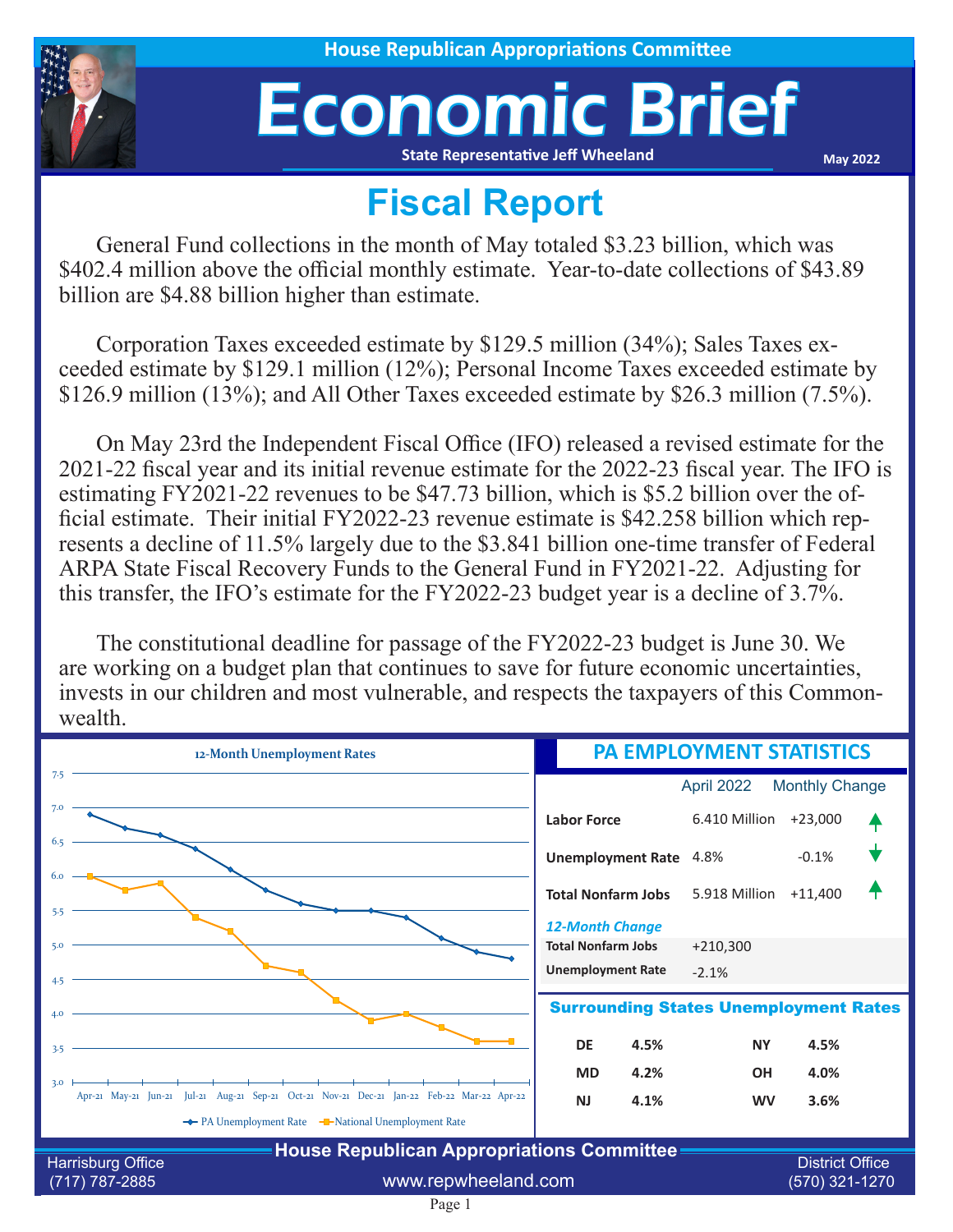

## Economic Brief **State Representative Jeff Wheeland**

**May 2022**

## **Fiscal Report**

General Fund collections in the month of May totaled \$3.23 billion, which was \$402.4 million above the official monthly estimate. Year-to-date collections of \$43.89 billion are \$4.88 billion higher than estimate.

Corporation Taxes exceeded estimate by \$129.5 million (34%); Sales Taxes exceeded estimate by \$129.1 million (12%); Personal Income Taxes exceeded estimate by \$126.9 million (13%); and All Other Taxes exceeded estimate by \$26.3 million (7.5%).

On May 23rd the Independent Fiscal Office (IFO) released a revised estimate for the 2021-22 fiscal year and its initial revenue estimate for the 2022-23 fiscal year. The IFO is estimating FY2021-22 revenues to be \$47.73 billion, which is \$5.2 billion over the official estimate. Their initial FY2022-23 revenue estimate is \$42.258 billion which represents a decline of 11.5% largely due to the \$3.841 billion one-time transfer of Federal ARPA State Fiscal Recovery Funds to the General Fund in FY2021-22. Adjusting for this transfer, the IFO's estimate for the FY2022-23 budget year is a decline of 3.7%.

The constitutional deadline for passage of the FY2022-23 budget is June 30. We are working on a budget plan that continues to save for future economic uncertainties, invests in our children and most vulnerable, and respects the taxpayers of this Commonwealth.

| 12-Month Unemployment Rates                                                                            | <b>PA EMPLOYMENT STATISTICS</b>                     |               |                       |  |  |
|--------------------------------------------------------------------------------------------------------|-----------------------------------------------------|---------------|-----------------------|--|--|
| 7.5                                                                                                    |                                                     | April 2022    | <b>Monthly Change</b> |  |  |
| 7.0                                                                                                    | <b>Labor Force</b>                                  | 6.410 Million | $+23,000$             |  |  |
| 6.5                                                                                                    | Unemployment Rate 4.8%                              |               | $-0.1%$               |  |  |
| 5.5                                                                                                    | <b>Total Nonfarm Jobs</b>                           | 5.918 Million | $+11,400$             |  |  |
| 5.0                                                                                                    | <b>12-Month Change</b><br><b>Total Nonfarm Jobs</b> | $+210,300$    |                       |  |  |
| 4.5                                                                                                    | <b>Unemployment Rate</b>                            | $-2.1%$       |                       |  |  |
| <b>Surrounding States Unemployment Rates</b><br>4.0                                                    |                                                     |               |                       |  |  |
| 3.5                                                                                                    | <b>DE</b><br>4.5%                                   | <b>NY</b>     | 4.5%                  |  |  |
| 3.0                                                                                                    | 4.2%<br><b>MD</b>                                   | <b>OH</b>     | 4.0%                  |  |  |
| Apr-21 May-21 Jun-21 Jul-21 Aug-21 Sep-21 Oct-21 Nov-21 Dec-21 Jan-22 Feb-22 Mar-22 Apr-22             | <b>NJ</b><br>4.1%                                   | <b>WV</b>     | 3.6%                  |  |  |
| ← PA Unemployment Rate – National Unemployment Rate                                                    |                                                     |               |                       |  |  |
| <b>House Republican Appropriations Committee</b><br><b>District Office</b><br><b>Harrisburg Office</b> |                                                     |               |                       |  |  |
| www.repwheeland.com<br>(717) 787-2885                                                                  |                                                     |               | (570) 321-1270        |  |  |